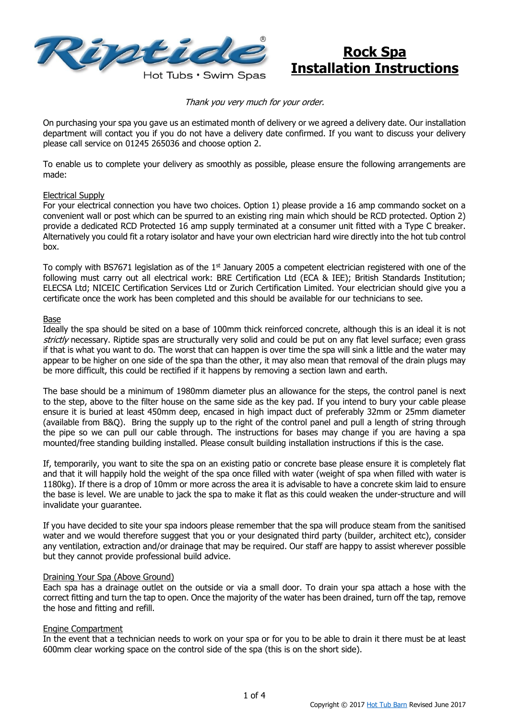

# **Rock Spa Installation Instructions**

Thank you very much for your order.

On purchasing your spa you gave us an estimated month of delivery or we agreed a delivery date. Our installation department will contact you if you do not have a delivery date confirmed. If you want to discuss your delivery please call service on 01245 265036 and choose option 2.

To enable us to complete your delivery as smoothly as possible, please ensure the following arrangements are made:

#### Electrical Supply

For your electrical connection you have two choices. Option 1) please provide a 16 amp commando socket on a convenient wall or post which can be spurred to an existing ring main which should be RCD protected. Option 2) provide a dedicated RCD Protected 16 amp supply terminated at a consumer unit fitted with a Type C breaker. Alternatively you could fit a rotary isolator and have your own electrician hard wire directly into the hot tub control box.

To comply with BS7671 legislation as of the  $1<sup>st</sup>$  January 2005 a competent electrician registered with one of the following must carry out all electrical work: BRE Certification Ltd (ECA & IEE); British Standards Institution; ELECSA Ltd; NICEIC Certification Services Ltd or Zurich Certification Limited. Your electrician should give you a certificate once the work has been completed and this should be available for our technicians to see.

#### Base

Ideally the spa should be sited on a base of 100mm thick reinforced concrete, although this is an ideal it is not strictly necessary. Riptide spas are structurally very solid and could be put on any flat level surface; even grass if that is what you want to do. The worst that can happen is over time the spa will sink a little and the water may appear to be higher on one side of the spa than the other, it may also mean that removal of the drain plugs may be more difficult, this could be rectified if it happens by removing a section lawn and earth.

The base should be a minimum of 1980mm diameter plus an allowance for the steps, the control panel is next to the step, above to the filter house on the same side as the key pad. If you intend to bury your cable please ensure it is buried at least 450mm deep, encased in high impact duct of preferably 32mm or 25mm diameter (available from B&Q). Bring the supply up to the right of the control panel and pull a length of string through the pipe so we can pull our cable through. The instructions for bases may change if you are having a spa mounted/free standing building installed. Please consult building installation instructions if this is the case.

If, temporarily, you want to site the spa on an existing patio or concrete base please ensure it is completely flat and that it will happily hold the weight of the spa once filled with water (weight of spa when filled with water is 1180kg). If there is a drop of 10mm or more across the area it is advisable to have a concrete skim laid to ensure the base is level. We are unable to jack the spa to make it flat as this could weaken the under-structure and will invalidate your guarantee.

If you have decided to site your spa indoors please remember that the spa will produce steam from the sanitised water and we would therefore suggest that you or your designated third party (builder, architect etc), consider any ventilation, extraction and/or drainage that may be required. Our staff are happy to assist wherever possible but they cannot provide professional build advice.

#### Draining Your Spa (Above Ground)

Each spa has a drainage outlet on the outside or via a small door. To drain your spa attach a hose with the correct fitting and turn the tap to open. Once the majority of the water has been drained, turn off the tap, remove the hose and fitting and refill.

#### Engine Compartment

In the event that a technician needs to work on your spa or for you to be able to drain it there must be at least 600mm clear working space on the control side of the spa (this is on the short side).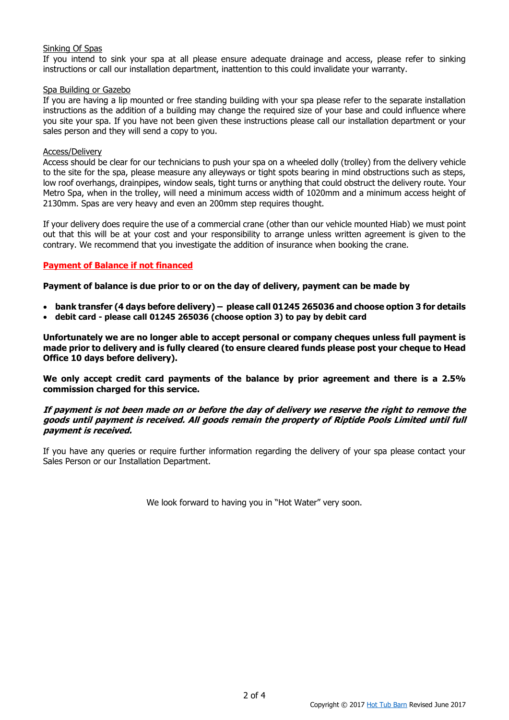#### Sinking Of Spas

If you intend to sink your spa at all please ensure adequate drainage and access, please refer to sinking instructions or call our installation department, inattention to this could invalidate your warranty.

#### Spa Building or Gazebo

If you are having a lip mounted or free standing building with your spa please refer to the separate installation instructions as the addition of a building may change the required size of your base and could influence where you site your spa. If you have not been given these instructions please call our installation department or your sales person and they will send a copy to you.

#### Access/Delivery

Access should be clear for our technicians to push your spa on a wheeled dolly (trolley) from the delivery vehicle to the site for the spa, please measure any alleyways or tight spots bearing in mind obstructions such as steps, low roof overhangs, drainpipes, window seals, tight turns or anything that could obstruct the delivery route. Your Metro Spa, when in the trolley, will need a minimum access width of 1020mm and a minimum access height of 2130mm. Spas are very heavy and even an 200mm step requires thought.

If your delivery does require the use of a commercial crane (other than our vehicle mounted Hiab) we must point out that this will be at your cost and your responsibility to arrange unless written agreement is given to the contrary. We recommend that you investigate the addition of insurance when booking the crane.

### **Payment of Balance if not financed**

**Payment of balance is due prior to or on the day of delivery, payment can be made by** 

- **bank transfer (4 days before delivery) – please call 01245 265036 and choose option 3 for details**
- **debit card - please call 01245 265036 (choose option 3) to pay by debit card**

**Unfortunately we are no longer able to accept personal or company cheques unless full payment is made prior to delivery and is fully cleared (to ensure cleared funds please post your cheque to Head Office 10 days before delivery).** 

**We only accept credit card payments of the balance by prior agreement and there is a 2.5% commission charged for this service.** 

#### **If payment is not been made on or before the day of delivery we reserve the right to remove the goods until payment is received. All goods remain the property of Riptide Pools Limited until full payment is received.**

If you have any queries or require further information regarding the delivery of your spa please contact your Sales Person or our Installation Department.

We look forward to having you in "Hot Water" very soon.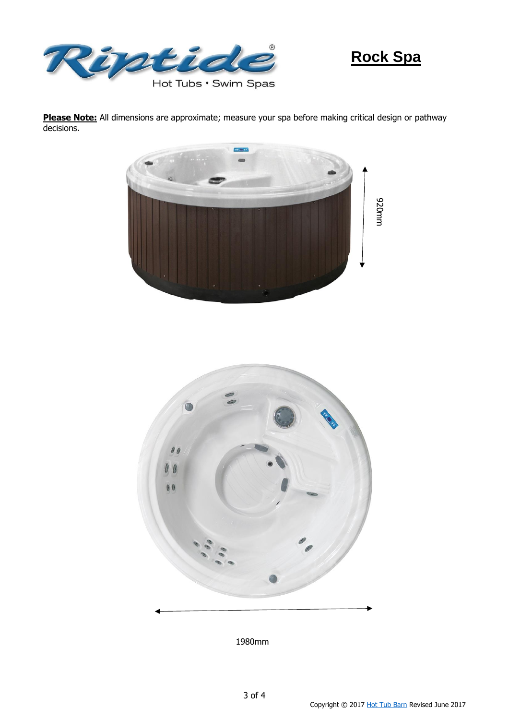

# **Rock Spa**

**Please Note:** All dimensions are approximate; measure your spa before making critical design or pathway decisions.





1980mm